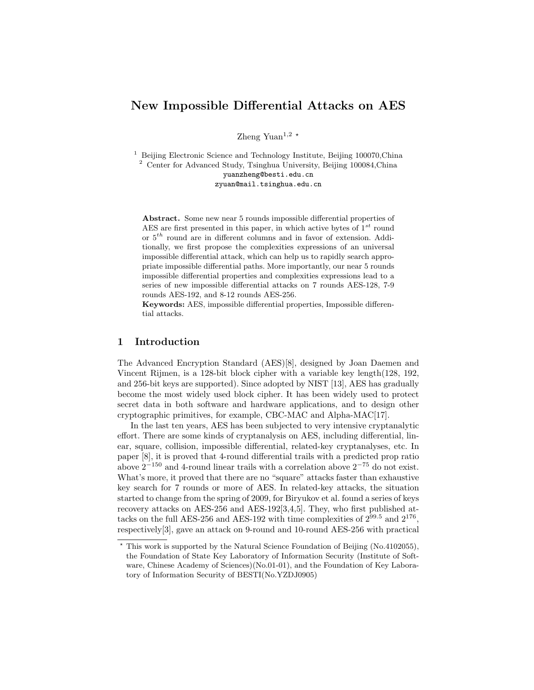# New Impossible Differential Attacks on AES

Zheng Yuan<sup>1,2  $\star$ </sup>

<sup>1</sup> Beijing Electronic Science and Technology Institute, Beijing 100070, China <sup>2</sup> Center for Advanced Study, Tsinghua University, Beijing 100084,China yuanzheng@besti.edu.cn zyuan@mail.tsinghua.edu.cn

Abstract. Some new near 5 rounds impossible differential properties of AES are first presented in this paper, in which active bytes of  $1^{st}$  round or  $5<sup>th</sup>$  round are in different columns and in favor of extension. Additionally, we first propose the complexities expressions of an universal impossible differential attack, which can help us to rapidly search appropriate impossible differential paths. More importantly, our near 5 rounds impossible differential properties and complexities expressions lead to a series of new impossible differential attacks on 7 rounds AES-128, 7-9 rounds AES-192, and 8-12 rounds AES-256.

Keywords: AES, impossible differential properties, Impossible differential attacks.

# 1 Introduction

The Advanced Encryption Standard (AES)[8], designed by Joan Daemen and Vincent Rijmen, is a 128-bit block cipher with a variable key length(128, 192, and 256-bit keys are supported). Since adopted by NIST [13], AES has gradually become the most widely used block cipher. It has been widely used to protect secret data in both software and hardware applications, and to design other cryptographic primitives, for example, CBC-MAC and Alpha-MAC[17].

In the last ten years, AES has been subjected to very intensive cryptanalytic effort. There are some kinds of cryptanalysis on AES, including differential, linear, square, collision, impossible differential, related-key cryptanalyses, etc. In paper [8], it is proved that 4-round differential trails with a predicted prop ratio above  $2^{-150}$  and 4-round linear trails with a correlation above  $2^{-75}$  do not exist. What's more, it proved that there are no "square" attacks faster than exhaustive key search for 7 rounds or more of AES. In related-key attacks, the situation started to change from the spring of 2009, for Biryukov et al. found a series of keys recovery attacks on AES-256 and AES-192[3,4,5]. They, who first published attacks on the full AES-256 and AES-192 with time complexities of  $2^{99.5}$  and  $2^{176}$ , respectively[3], gave an attack on 9-round and 10-round AES-256 with practical

<sup>?</sup> This work is supported by the Natural Science Foundation of Beijing (No.4102055), the Foundation of State Key Laboratory of Information Security (Institute of Software, Chinese Academy of Sciences)(No.01-01), and the Foundation of Key Laboratory of Information Security of BESTI(No.YZDJ0905)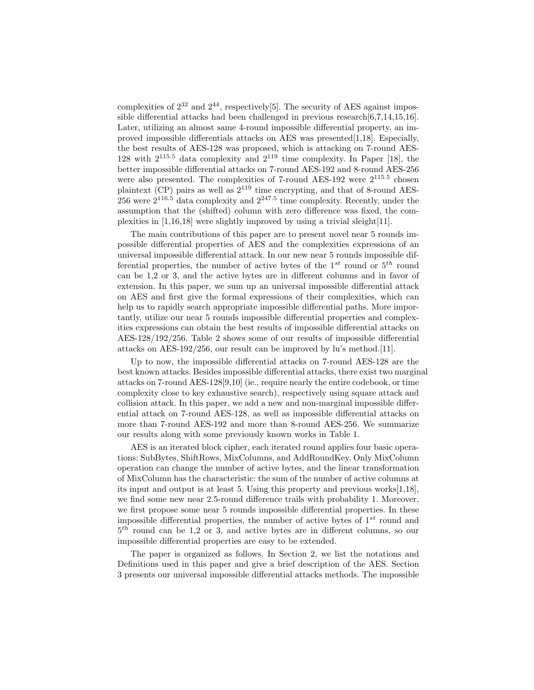complexities of  $2^{32}$  and  $2^{44}$ , respectively[5]. The security of AES against impossible differential attacks had been challenged in previous research[6,7,14,15,16]. Later, utilizing an almost same 4-round impossible differential property, an improved impossible differentials attacks on AES was presented[1,18]. Especially, the best results of AES-128 was proposed, which is attacking on 7-round AES-128 with  $2^{115.5}$  data complexity and  $2^{119}$  time complexity. In Paper [18], the better impossible differential attacks on 7-round AES-192 and 8-round AES-256 were also presented. The complexities of 7-round AES-192 were  $2^{115.5}$  chosen plaintext (CP) pairs as well as  $2^{119}$  time encrypting, and that of 8-round AES-256 were  $2^{116.5}$  data complexity and  $2^{247.5}$  time complexity. Recently, under the assumption that the (shifted) column with zero difference was fixed, the complexities in [1,16,18] were slightly improved by using a trivial sleight[11].

The main contributions of this paper are to present novel near 5 rounds impossible differential properties of AES and the complexities expressions of an universal impossible differential attack. In our new near 5 rounds impossible differential properties, the number of active bytes of the  $1^{st}$  round or  $5^{th}$  round can be 1,2 or 3, and the active bytes are in different columns and in favor of extension. In this paper, we sum up an universal impossible differential attack on AES and first give the formal expressions of their complexities, which can help us to rapidly search appropriate impossible differential paths. More importantly, utilize our near 5 rounds impossible differential properties and complexities expressions can obtain the best results of impossible differential attacks on AES-128/192/256. Table 2 shows some of our results of impossible differential attacks on AES-192/256, our result can be improved by lu's method.[11].

Up to now, the impossible differential attacks on 7-round AES-128 are the best known attacks. Besides impossible differential attacks, there exist two marginal attacks on 7-round AES-128[9,10] (ie., require nearly the entire codebook, or time complexity close to key exhaustive search), respectively using square attack and collision attack. In this paper, we add a new and non-marginal impossible differential attack on 7-round AES-128, as well as impossible differential attacks on more than 7-round AES-192 and more than 8-round AES-256. We summarize our results along with some previously known works in Table 1.

AES is an iterated block cipher, each iterated round applies four basic operations: SubBytes, ShiftRows, MixColumns, and AddRoundKey. Only MixColumn operation can change the number of active bytes, and the linear transformation of MixColumn has the characteristic: the sum of the number of active columns at its input and output is at least 5. Using this property and previous works[1,18], we find some new near 2.5-round difference trails with probability 1. Moreover, we first propose some near 5 rounds impossible differential properties. In these impossible differential properties, the number of active bytes of  $1^{st}$  round and  $5<sup>th</sup>$  round can be 1,2 or 3, and active bytes are in different columns, so our impossible differential properties are easy to be extended.

The paper is organized as follows. In Section 2, we list the notations and Definitions used in this paper and give a brief description of the AES. Section 3 presents our universal impossible differential attacks methods. The impossible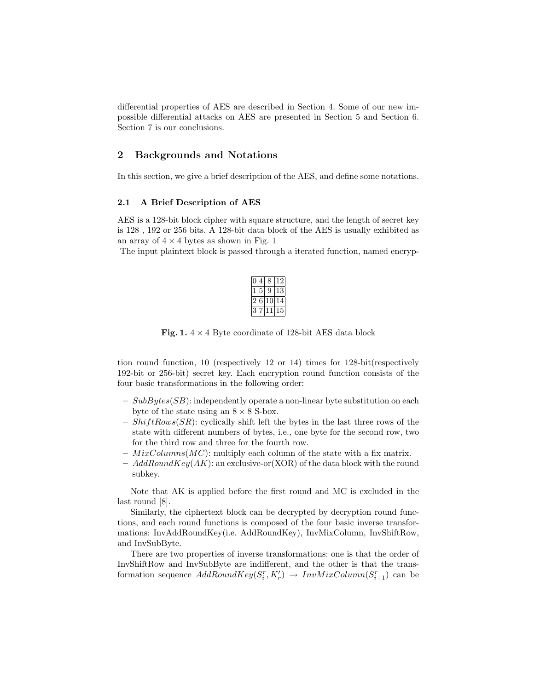differential properties of AES are described in Section 4. Some of our new impossible differential attacks on AES are presented in Section 5 and Section 6. Section 7 is our conclusions.

#### 2 Backgrounds and Notations

In this section, we give a brief description of the AES, and define some notations.

#### 2.1 A Brief Description of AES

AES is a 128-bit block cipher with square structure, and the length of secret key is 128 , 192 or 256 bits. A 128-bit data block of the AES is usually exhibited as an array of  $4 \times 4$  bytes as shown in Fig. 1

The input plaintext block is passed through a iterated function, named encryp-

|   |   | ٠, |
|---|---|----|
|   | ř | κ  |
| f | P |    |
|   |   | 5  |

Fig. 1.  $4 \times 4$  Byte coordinate of 128-bit AES data block

tion round function, 10 (respectively 12 or 14) times for 128-bit(respectively 192-bit or 256-bit) secret key. Each encryption round function consists of the four basic transformations in the following order:

- $SubBytes(SB)$ : independently operate a non-linear byte substitution on each byte of the state using an  $8 \times 8$  S-box.
- $ShiftRows(SR)$ : cyclically shift left the bytes in the last three rows of the state with different numbers of bytes, i.e., one byte for the second row, two for the third row and three for the fourth row.
- $-$  MixColumns(MC): multiply each column of the state with a fix matrix.
- $AddRoundKey(AK)$ : an exclusive-or(XOR) of the data block with the round subkey.

Note that AK is applied before the first round and MC is excluded in the last round [8].

Similarly, the ciphertext block can be decrypted by decryption round functions, and each round functions is composed of the four basic inverse transformations: InvAddRoundKey(i.e. AddRoundKey), InvMixColumn, InvShiftRow, and InvSubByte.

There are two properties of inverse transformations: one is that the order of InvShiftRow and InvSubByte are indifferent, and the other is that the transformation sequence  $AddRoundKey(S_i^r, K'_r) \rightarrow InvMixColumn(S_{i+1}^r)$  can be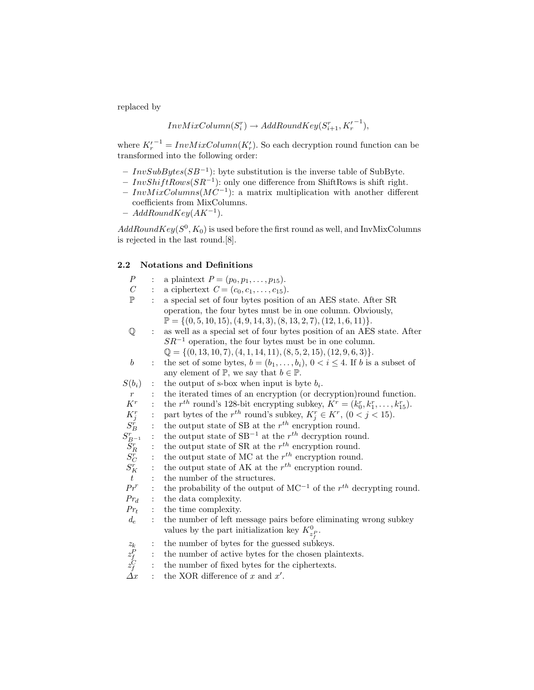replaced by

$$
InvMixColumn(S_i^r) \rightarrow AddRoundKey(S_{i+1}^r, {K'_r}^{-1}),
$$

where  $K_r'^{-1} = InvMixColumn(K_r')$ . So each decryption round function can be transformed into the following order:

- $InvSubBytes(SB^{-1})$ : byte substitution is the inverse table of SubByte.
- $-InvShiftRows(SR^{-1})$ : only one difference from ShiftRows is shift right.
- $-InvMixColumns(MC^{-1})$ : a matrix multiplication with another different coefficients from MixColumns.
- $AddRoundKey(AK^{-1}).$

 $AddRoundKey(S^0, K_0)$  is used before the first round as well, and InvMixColumns is rejected in the last round.[8].

### 2.2 Notations and Definitions

| $\boldsymbol{P}$                                                               |                | a plaintext $P = (p_0, p_1, \ldots, p_{15}).$                                              |
|--------------------------------------------------------------------------------|----------------|--------------------------------------------------------------------------------------------|
| $\mathcal C$                                                                   | $\ddot{\cdot}$ | a ciphertext $C = (c_0, c_1, \ldots, c_{15}).$                                             |
| $\mathbb P$                                                                    |                | a special set of four bytes position of an AES state. After SR                             |
|                                                                                |                | operation, the four bytes must be in one column. Obviously,                                |
|                                                                                |                | $\mathbb{P} = \{(0, 5, 10, 15), (4, 9, 14, 3), (8, 13, 2, 7), (12, 1, 6, 11)\}.$           |
| $\mathbb Q$                                                                    | $\ddot{\cdot}$ | as well as a special set of four bytes position of an AES state. After                     |
|                                                                                |                | $SR^{-1}$ operation, the four bytes must be in one column.                                 |
|                                                                                |                | $\mathbb{Q} = \{(0, 13, 10, 7), (4, 1, 14, 11), (8, 5, 2, 15), (12, 9, 6, 3)\}.$           |
| $\boldsymbol{b}$                                                               | $\ddot{\cdot}$ | the set of some bytes, $b = (b_1, \ldots, b_i)$ , $0 < i \leq 4$ . If b is a subset of     |
|                                                                                |                | any element of $\mathbb{P}$ , we say that $b \in \mathbb{P}$ .                             |
| $S(b_i)$                                                                       |                | the output of s-box when input is byte $b_i$ .                                             |
| $\boldsymbol{r}$                                                               |                | the iterated times of an encryption (or decryption) round function.                        |
| $K^r\!$                                                                        | $\ddot{\cdot}$ | the $r^{th}$ round's 128-bit encrypting subkey, $K^r = (k_0^r, k_1^r, \ldots, k_{15}^r)$ . |
|                                                                                | $\vdots$       | part bytes of the $r^{th}$ round's subkey, $K_j^r \in K^r$ , $(0 < j < 15)$ .              |
|                                                                                |                | the output state of SB at the $r^{th}$ encryption round.                                   |
|                                                                                |                | the output state of $SB^{-1}$ at the $r^{th}$ decryption round.                            |
|                                                                                | $\vdots$       | the output state of SR at the $r^{th}$ encryption round.                                   |
|                                                                                | $\ddot{\cdot}$ | the output state of MC at the $r^{th}$ encryption round.                                   |
| $\begin{array}{c} K_j^r\ S_B^r\ S_{B^{-1}}^r\ S_R^r\ S_C^r\ S_K^r \end{array}$ |                | the output state of AK at the $r^{th}$ encryption round.                                   |
| $\boldsymbol{t}$                                                               |                | the number of the structures.                                                              |
| $\Pr^r$                                                                        | $\ddot{\cdot}$ | the probability of the output of $MC^{-1}$ of the $r^{th}$ decrypting round.               |
| $Pr_d$                                                                         |                |                                                                                            |
|                                                                                | $\ddot{\cdot}$ | the data complexity.                                                                       |
| $Pr_t$                                                                         | $\ddot{\cdot}$ | the time complexity.                                                                       |
| $d_e$                                                                          | $\ddot{\cdot}$ | the number of left message pairs before eliminating wrong subkey                           |
|                                                                                |                | values by the part initialization key $K_{z^P}^0$ .                                        |
|                                                                                | $\ddot{\cdot}$ | the number of bytes for the guessed subkeys.                                               |
|                                                                                | $\vdots$       | the number of active bytes for the chosen plaintexts.                                      |
|                                                                                | $\vdots$       | the number of fixed bytes for the ciphertexts.                                             |
| $\begin{array}{c} z_k\\ z_f^P\\ z_f^C\\ \Delta x \end{array}$                  |                | the XOR difference of $x$ and $x'$ .                                                       |
|                                                                                |                |                                                                                            |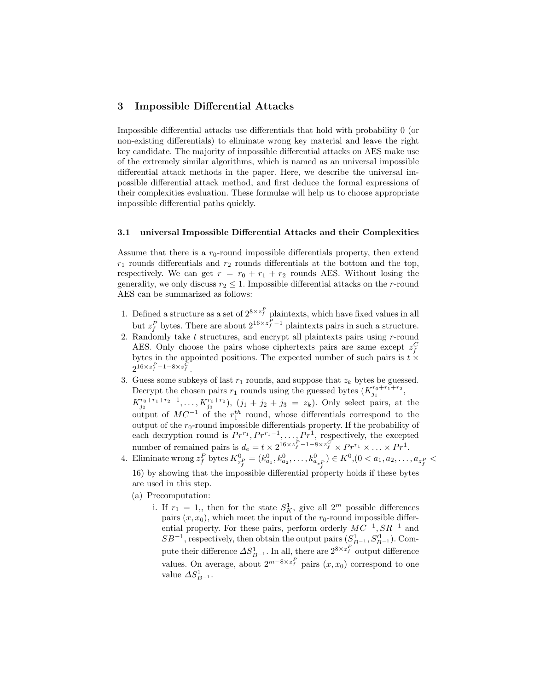# 3 Impossible Differential Attacks

Impossible differential attacks use differentials that hold with probability 0 (or non-existing differentials) to eliminate wrong key material and leave the right key candidate. The majority of impossible differential attacks on AES make use of the extremely similar algorithms, which is named as an universal impossible differential attack methods in the paper. Here, we describe the universal impossible differential attack method, and first deduce the formal expressions of their complexities evaluation. These formulae will help us to choose appropriate impossible differential paths quickly.

#### 3.1 universal Impossible Differential Attacks and their Complexities

Assume that there is a  $r_0$ -round impossible differentials property, then extend  $r_1$  rounds differentials and  $r_2$  rounds differentials at the bottom and the top, respectively. We can get  $r = r_0 + r_1 + r_2$  rounds AES. Without losing the generality, we only discuss  $r_2 \leq 1$ . Impossible differential attacks on the *r*-round AES can be summarized as follows:

- 1. Defined a structure as a set of  $2^{8 \times z_f^P}$  plaintexts, which have fixed values in all but  $z_f^P$  bytes. There are about  $2^{16 \times z_f^P - 1}$  plaintexts pairs in such a structure.
- 2. Randomly take  $t$  structures, and encrypt all plaintexts pairs using  $r$ -round AES. Only choose the pairs whose ciphertexts pairs are same except  $z_f^C$ bytes in the appointed positions. The expected number of such pairs is  $t \times$  $2^{16 \times z_f^P - 1 - 8 \times z_f^C}$ .
- 3. Guess some subkeys of last  $r_1$  rounds, and suppose that  $z_k$  bytes be guessed. Decrypt the chosen pairs  $r_1$  rounds using the guessed bytes  $(K_{j_1}^{r_0+r_1+r_2},$  $K_{j_2}^{r_0+r_1+r_2-1}, \ldots, K_{j_3}^{r_0+r_2}$ ,  $(j_1+j_2+j_3 = z_k)$ . Only select pairs, at the output of  $MC^{-1}$  of the  $r_1^{th}$  round, whose differentials correspond to the output of the  $r_0$ -round impossible differentials property. If the probability of each decryption round is  $Pr^{r_1}, Pr^{r_1-1}, \ldots, Pr^1$ , respectively, the excepted number of remained pairs is  $d_e = t \times 2^{16 \times z_f^P - 1 - 8 \times z_f^C} \times Pr^{r_1} \times \ldots \times Pr^1$ .
- 4. Eliminate wrong  $z_f^P$  bytes  $K^0_{z_f^P} = (k_{a_1}^0, k_{a_2}^0, \ldots, k_{a_{z_f}^P}^0) \in K^0$ ,  $(0 < a_1, a_2, \ldots, a_{z_f^P} <$ 
	- 16) by showing that the impossible differential property holds if these bytes are used in this step.
	- (a) Precomputation:
		- i. If  $r_1 = 1$ ,, then for the state  $S_K^1$ , give all  $2^m$  possible differences pairs  $(x, x_0)$ , which meet the input of the  $r_0$ -round impossible differential property. For these pairs, perform orderly  $MC^{-1}$ ,  $SR^{-1}$  and  $SB^{-1}$ , respectively, then obtain the output pairs  $(S_{B^{-1}}^1, S_{B^{-1}}'^1)$ . Compute their difference  $\Delta S^1_{B^{-1}}$ . In all, there are  $2^{8 \times z^P_f}$  output difference values. On average, about  $2^{m-8\times z_f^P}$  pairs  $(x, x_0)$  correspond to one value  $\Delta S_{B^{-1}}^1$ .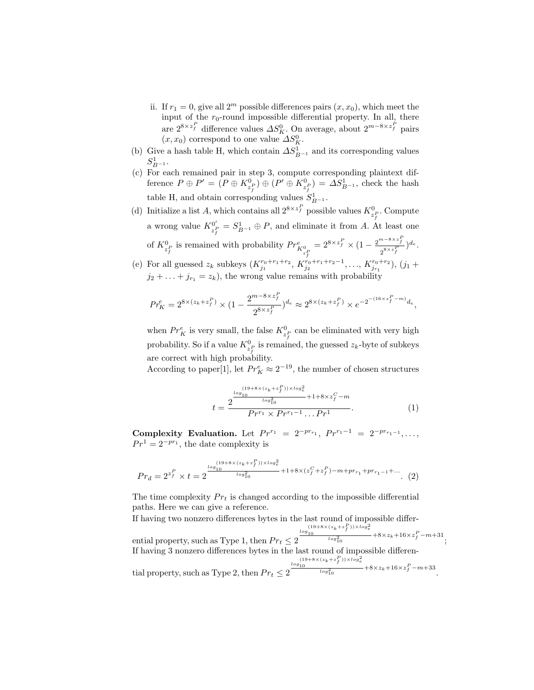- ii. If  $r_1 = 0$ , give all  $2^m$  possible differences pairs  $(x, x_0)$ , which meet the input of the  $r_0$ -round impossible differential property. In all, there are  $2^{8 \times z_f^P}$  difference values  $\Delta S_K^0$ . On average, about  $2^{m-8 \times z_f^P}$  pairs  $(x, x_0)$  correspond to one value  $\Delta S_K^0$ .
- (b) Give a hash table H, which contain  $\Delta S_{B^{-1}}^1$  and its corresponding values  $S_{B-1}^1$ .
- (c) For each remained pair in step 3, compute corresponding plaintext difference  $P \oplus P' = (P \oplus K_{z_f^P}^0) \oplus (P' \oplus K_{z_f^P}^0) = \Delta S_{B^{-1}}^1$ , check the hash table H, and obtain corresponding values  $S_{B^{-1}}^1$ .
- (d) Initialize a list A, which contains all  $2^{8 \times z_f^P}$  possible values  $K^0_{z_i^P}$ . Compute a wrong value  $K^{0'}_{s,P} = S^1_{R-1} \oplus P$ , and eliminate it from A. A  $\mathcal{L}_{\substack{p \ p \ f}}^{0'} = S_{B^{-1}}^1 \oplus P$ , and eliminate it from A. At least one of  $K^0_{z_f^p}$  is remained with probability  $Pr^e_{K^0_{z_f^p}}$  $=2^{8\times z_f^P}\times(1-\frac{2^{m-8\times z_f^P}}{8\times z^P})$  $\frac{a^{-6\lambda z}f}{2^{8\times z}f}\big)^{d_e}.$ (e) For all guessed  $z_k$  subkeys  $(K_{j_1}^{r_0+r_1+r_2}, K_{j_2}^{r_0+r_1+r_2-1}, \ldots, K_{j_{r_1}}^{r_0+r_2}), (j_1 +$
- $j_2 + \ldots + j_{r_1} = z_k$ , the wrong value remains with probability

$$
Pr_K^e = 2^{8 \times (z_k + z_f^P)} \times (1 - \frac{2^{m - 8 \times z_f^P}}{2^{8 \times z_f^P}})^{d_e} \approx 2^{8 \times (z_k + z_f^P)} \times e^{-2^{-(16 \times z_f^P - m)} d_e},
$$

when  $Pr_K^e$  is very small, the false  $K_{z_f^P}^{\mathbb{O}}$  can be eliminated with very high probability. So if a value  $K_{z_f^p}^0$  is remained, the guessed  $z_k$ -byte of subkeys are correct with high probability.

According to paper[1], let  $Pr_K^e \approx 2^{-19}$ , the number of chosen structures

$$
t = \frac{2^{\frac{\log(19+8 \times (z_k + z_f^P)) \times \log_e^2}{\log_{10}^2} + 1 + 8 \times z_f^C - m}}{Pr^{r_1} \times Pr^{r_1 - 1} \dots Pr^1}.
$$
 (1)

Complexity Evaluation. Let  $Pr^{r_1} = 2^{-pr_{r_1}}, Pr^{r_1-1} = 2^{-pr_{r_1-1}}, \ldots$  $Pr<sup>1</sup> = 2<sup>-pr<sub>1</sub></sup>$ , the date complexity is

$$
Pr_d = 2^{z_f^P} \times t = 2^{\frac{\log_{10}(19+8 \times (z_k + z_f^P)) \times \log_e^2}{\log_{10}^2} + 1 + 8 \times (z_f^C + z_f^P) - m + pr_{r_1} + pr_{r_1 - 1} + \dots} \tag{2}
$$

The time complexity  $Pr_t$  is changed according to the impossible differential paths. Here we can give a reference.

If having two nonzero differences bytes in the last round of impossible differential property, such as Type 1, then  $Pr_t \leq 2 \frac{\log_{10}^{(19+8 \times (z_k+z_f^P)) \times \log_e^2}}{\log_{10}^2} + 8 \times z_k + 16 \times z_f^P - m + 31$ ; If having 3 nonzero differences bytes in the last round of impossible differential property, such as Type 2, then  $Pr_t \leq 2 \frac{\frac{\log_{10}^{(19+8 \times (z_k+z_f^P)) \times \log_e^2}}{\log_{10}^2} + 8 \times z_k + 16 \times z_f^P - m + 33}{\log_{10}^2}$ .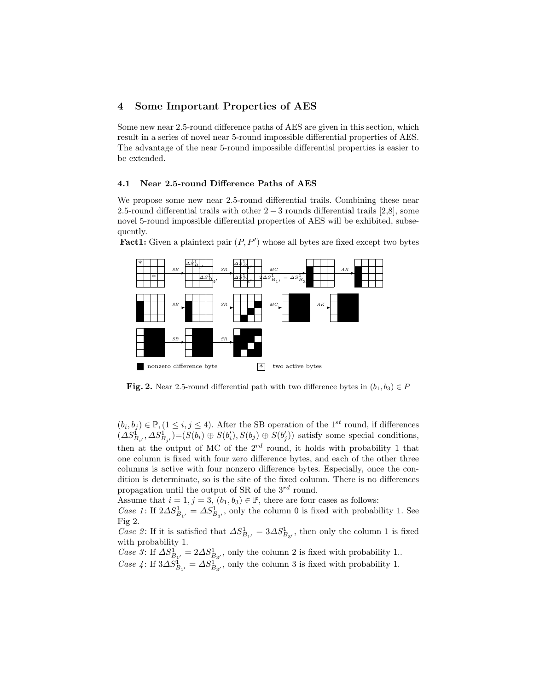# 4 Some Important Properties of AES

Some new near 2.5-round difference paths of AES are given in this section, which result in a series of novel near 5-round impossible differential properties of AES. The advantage of the near 5-round impossible differential properties is easier to be extended.

#### 4.1 Near 2.5-round Difference Paths of AES

We propose some new near 2.5-round differential trails. Combining these near 2.5-round differential trails with other  $2 - 3$  rounds differential trails [2,8], some novel 5-round impossible differential properties of AES will be exhibited, subsequently.

Fact1: Given a plaintext pair  $(P, P')$  whose all bytes are fixed except two bytes



**Fig. 2.** Near 2.5-round differential path with two difference bytes in  $(b_1, b_3) \in P$ 

 $(b_i, b_j) \in \mathbb{P}, (1 \leq i, j \leq 4)$ . After the SB operation of the 1<sup>st</sup> round, if differences  $(\Delta S_{B_{i'}}^{\mathbb{I}}, \Delta S_{B_{j'}}^{\mathbb{I}}) = (S(b_i) \oplus S(b'_i), S(b_j) \oplus S(b'_j))$  satisfy some special conditions, then at the output of MC of the  $2^{rd}$  round, it holds with probability 1 that one column is fixed with four zero difference bytes, and each of the other three columns is active with four nonzero difference bytes. Especially, once the condition is determinate, so is the site of the fixed column. There is no differences propagation until the output of SR of the  $3^{rd}$  round.

Assume that  $i = 1, j = 3, (b_1, b_3) \in \mathbb{P}$ , there are four cases as follows:

Case 1: If  $2\Delta S^1_{B_{1'}} = \Delta S^1_{B_{3'}}$ , only the column 0 is fixed with probability 1. See Fig 2.

Case 2: If it is satisfied that  $\Delta S_{B_{1'}}^1 = 3 \Delta S_{B_{3'}}^1$ , then only the column 1 is fixed with probability 1.

*Case 3*: If  $\Delta S_{B_{1'}}^1 = 2 \Delta S_{B_{3'}}^1$ , only the column 2 is fixed with probability 1.. Case 4: If  $3\Delta S_{B_{1'}}^1 = \Delta S_{B_{3'}}^1$ , only the column 3 is fixed with probability 1.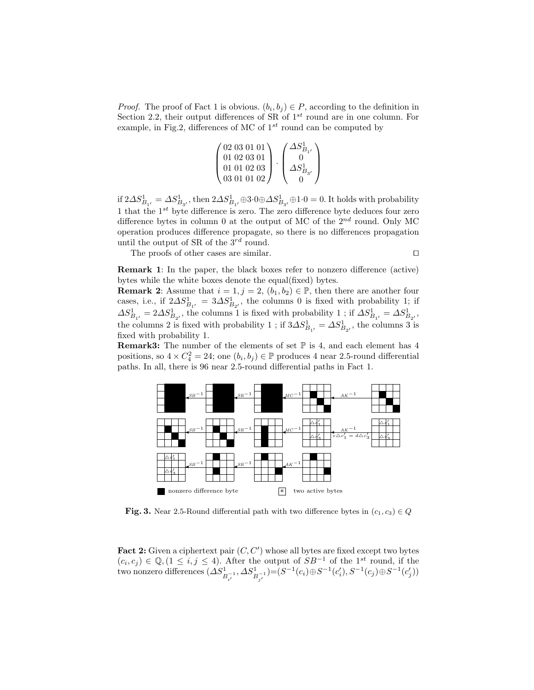*Proof.* The proof of Fact 1 is obvious.  $(b_i, b_j) \in P$ , according to the definition in Section 2.2, their output differences of SR of  $1^{st}$  round are in one column. For example, in Fig.2, differences of MC of  $1^{st}$  round can be computed by

| $'$ 02 03 01 01 $\backslash$ | $\varDelta S^\text{{\tiny L}}_{\bm{\mathcal{D}}}$ |
|------------------------------|---------------------------------------------------|
| 01 02 03 01                  |                                                   |
| 01 01 02 03                  |                                                   |
| 03010102                     |                                                   |

if  $2\Delta S^1_{B_{1'}} = \Delta S^1_{B_{3'}}$ , then  $2\Delta S^1_{B_{1'}}$  $\oplus$ 3 $\cdot$ 0 $\oplus$  $\Delta S^1_{B_{3'}}$  $\oplus$ 1 $\cdot$ 0 $=$ 0. It holds with probability 1 that the  $1^{st}$  byte difference is zero. The zero difference byte deduces four zero difference bytes in column 0 at the output of MC of the  $2^{nd}$  round. Only MC operation produces difference propagate, so there is no differences propagation until the output of SR of the  $3^{rd}$  round.

The proofs of other cases are similar.  $\Box$ 

Remark 1: In the paper, the black boxes refer to nonzero difference (active) bytes while the white boxes denote the equal(fixed) bytes.

**Remark 2:** Assume that  $i = 1, j = 2, (b_1, b_2) \in \mathbb{P}$ , then there are another four cases, i.e., if  $2\Delta S_{B_{1'}}^1 = 3\Delta S_{B_{2'}}^1$ , the columns 0 is fixed with probability 1; if  $\Delta S_{B_{1'}}^1 = 2 \Delta S_{B_{2'}}^1$ , the columns 1 is fixed with probability 1 ; if  $\Delta S_{B_{1'}}^1 = \Delta S_{B_{2'}}^1$ , the columns 2 is fixed with probability 1 ; if  $3\Delta S_{B_{1'}}^1 = \Delta S_{B_{2'}}^1$ , the columns 3 is fixed with probability 1.

**Remark3:** The number of the elements of set  $\mathbb P$  is 4, and each element has 4 positions, so  $4 \times C_4^2 = 24$ ; one  $(b_i, b_j) \in \mathbb{P}$  produces 4 near 2.5-round differential paths. In all, there is 96 near 2.5-round differential paths in Fact 1.



**Fig. 3.** Near 2.5-Round differential path with two difference bytes in  $(c_1, c_3) \in Q$ 

Fact 2: Given a ciphertext pair  $(C, C')$  whose all bytes are fixed except two bytes  $(c_i, c_j) \in \mathbb{Q}, (1 \leq i, j \leq 4)$ . After the output of  $SB^{-1}$  of the 1<sup>st</sup> round, if the two nonzero differences  $(\Delta S^1_{B^{-1}_{i'}} , \Delta S^1_{B^{-1}_{j'}})$   $=$   $(S^{-1}(c_i) \oplus S^{-1}(c_i'), S^{-1}(c_j) \oplus S^{-1}(c_j'))$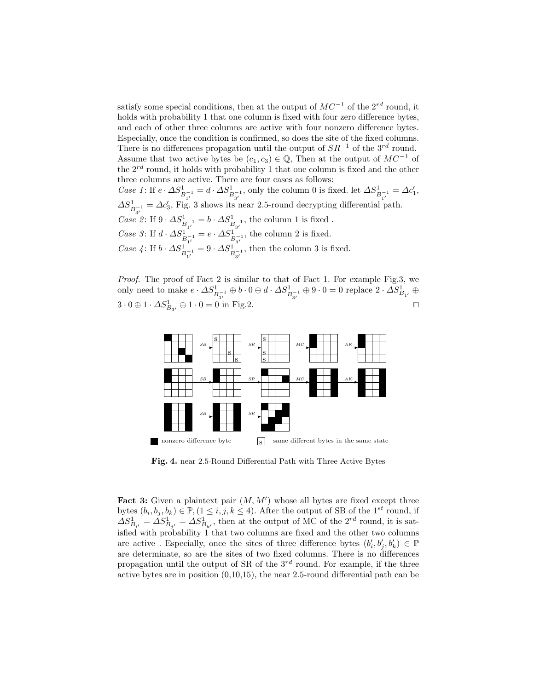satisfy some special conditions, then at the output of  $MC^{-1}$  of the  $2^{rd}$  round, it holds with probability 1 that one column is fixed with four zero difference bytes, and each of other three columns are active with four nonzero difference bytes. Especially, once the condition is confirmed, so does the site of the fixed columns. There is no differences propagation until the output of  $SR^{-1}$  of the 3<sup>rd</sup> round. Assume that two active bytes be  $(c_1, c_3) \in \mathbb{Q}$ , Then at the output of  $MC^{-1}$  of the  $2^{rd}$  round, it holds with probability 1 that one column is fixed and the other three columns are active. There are four cases as follows: Case 1: If  $e \cdot \Delta S^1_{B^{-1}_{1'}} = d \cdot \Delta S^1_{B^{-1}_{3'}}$ , only the column 0 is fixed. let  $\Delta S^1_{B^{-1}_{1'}} = \Delta c'_1$ ,  $\Delta S^1_{B^{-1}_{3'}} = \Delta c'_3$ , Fig. 3 shows its near 2.5-round decrypting differential path.  $\textit{Case 2}:$  If 9 ⋅  $\Delta S^1_{B^{-1}_{1'}}=b\cdot \Delta S^1_{B^{-1}_{3'}}$ , the column 1 is fixed . Case 3: If  $d \cdot \Delta S^1_{\substack{B^{-1}_{1'}}} = e \cdot \Delta S^1_{\substack{B^{-1}_{3'}}}$ , the column 2 is fixed. *Case* 4: If  $b \cdot \Delta S^1_{B^{-1}_{1'}} = 9 \cdot \Delta S^1_{B^{-1}_{3'}}$ , then the column 3 is fixed.

Proof. The proof of Fact 2 is similar to that of Fact 1. For example Fig.3, we only need to make  $e\cdot \Delta S^1_{B_{1'}^{-1}}\oplus b\cdot 0\oplus d\cdot \Delta S^1_{B_{3'}^{-1}}\oplus 9\cdot 0=0$  replace  $2\cdot \Delta S^1_{B_{1'}}\oplus 0$  $3 \cdot 0 \oplus 1 \cdot \Delta S^1_{B_{3'}} \oplus 1 \cdot 0 = 0$  in Fig.2. □



Fig. 4. near 2.5-Round Differential Path with Three Active Bytes

Fact 3: Given a plaintext pair  $(M, M')$  whose all bytes are fixed except three bytes  $(b_i, b_j, b_k) \in \mathbb{P}, (1 \leq i, j, k \leq 4)$ . After the output of SB of the 1<sup>st</sup> round, if  $\Delta S_{B_{i'}}^1 = \Delta S_{B_{j'}}^1 = \Delta S_{B_{k'}}^1$ , then at the output of MC of the  $2^{rd}$  round, it is satisfied with probability 1 that two columns are fixed and the other two columns are active . Especially, once the sites of three difference bytes  $(b'_i, b'_j, b'_k) \in \mathbb{P}$ are determinate, so are the sites of two fixed columns. There is no differences propagation until the output of SR of the  $3^{rd}$  round. For example, if the three active bytes are in position (0,10,15), the near 2.5-round differential path can be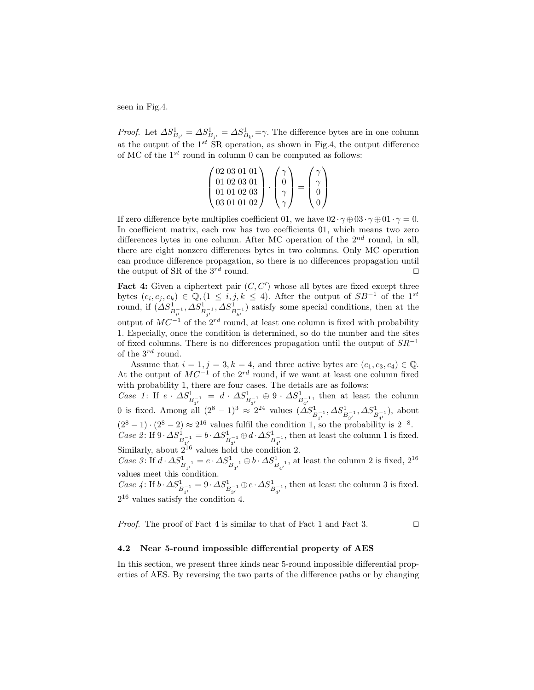seen in Fig.4.

*Proof.* Let  $\Delta S_{B_{i'}}^1 = \Delta S_{B_{j'}}^1 = \Delta S_{B_{k'}}^1 = \gamma$ . The difference bytes are in one column at the output of the  $1^{st}$  SR operation, as shown in Fig.4, the output difference of MC of the  $1^{st}$  round in column 0 can be computed as follows:

$$
\begin{pmatrix} 02 & 03 & 01 & 01 \\ 01 & 02 & 03 & 01 \\ 01 & 01 & 02 & 03 \\ 03 & 01 & 01 & 02 \end{pmatrix} \cdot \begin{pmatrix} \gamma \\ 0 \\ \gamma \\ \gamma \end{pmatrix} = \begin{pmatrix} \gamma \\ \gamma \\ 0 \\ 0 \end{pmatrix}
$$

If zero difference byte multiplies coefficient 01, we have  $02 \cdot \gamma \oplus 03 \cdot \gamma \oplus 01 \cdot \gamma = 0$ . In coefficient matrix, each row has two coefficients 01, which means two zero differences bytes in one column. After MC operation of the  $2^{nd}$  round, in all, there are eight nonzero differences bytes in two columns. Only MC operation can produce difference propagation, so there is no differences propagation until the output of SR of the  $3^{rd}$  round.

Fact 4: Given a ciphertext pair  $(C, C')$  whose all bytes are fixed except three bytes  $(c_i, c_j, c_k) \in \mathbb{Q}, (1 \leq i, j, k \leq 4)$ . After the output of  $SB^{-1}$  of the  $1^{st}$ round, if  $(\Delta S^1_{B_{i'}^{-1}}, \Delta S^1_{B_{i'}^{-1}})$  satisfy some special conditions, then at the output of  $MC^{-1}$  of the 2<sup>rd</sup> round, at least one column is fixed with probability 1. Especially, once the condition is determined, so do the number and the sites of fixed columns. There is no differences propagation until the output of  $SR^{-1}$ of the  $3^{rd}$  round.

Assume that  $i = 1, j = 3, k = 4$ , and three active bytes are  $(c_1, c_3, c_4) \in \mathbb{Q}$ . At the output of  $MC^{-1}$  of the  $2^{rd}$  round, if we want at least one column fixed with probability 1, there are four cases. The details are as follows:

Case 1: If  $e \cdot \Delta S^1_{B_{1'}^{-1}} = d \cdot \Delta S^1_{B_{3'}^{-1}} \oplus 9 \cdot \Delta S^1_{B_{4'}^{-1}},$  then at least the column 0 is fixed. Among all  $(2^8 - 1)^3 \approx 2^{24}$  values  $(\Delta S^1_{B_{1'}^{-1}}, \Delta S^1_{B_{3'}^{-1}}, \Delta S^1_{B_{4'}^{-1}})$ , about  $(2^8 - 1) \cdot (2^8 - 2) \approx 2^{16}$  values fulfil the condition 1, so the probability is  $2^{-8}$ . Case 2: If  $9 \cdot \Delta S^1_{B_{\alpha'}^{-1}} = b \cdot \Delta S^1_{B_{\alpha'}^{-1}} \oplus d \cdot \Delta S^1_{B_{\alpha'}^{-1}}$ , then at least the column 1 is fixed. Similarly, about  $2^{16}$  values hold the condition 2.

Case 3: If  $d \cdot \Delta S^1_{B_{3'}^{-1}} = e \cdot \Delta S^1_{B_{3'}^{-1}} \oplus b \cdot \Delta S^1_{B_{4'}^{-1}}$ , at least the column 2 is fixed,  $2^{16}$ values meet this condition.

Case 4: If  $b \cdot \Delta S^1_{B_{1'}^{-1}} = 9 \cdot \Delta S^1_{B_{3'}^{-1}} \oplus e \cdot \Delta S^1_{B_{4'}^{-1}}$ , then at least the column 3 is fixed. 2 <sup>16</sup> values satisfy the condition 4.

*Proof.* The proof of Fact 4 is similar to that of Fact 1 and Fact 3.  $\Box$ 

#### 4.2 Near 5-round impossible differential property of AES

In this section, we present three kinds near 5-round impossible differential properties of AES. By reversing the two parts of the difference paths or by changing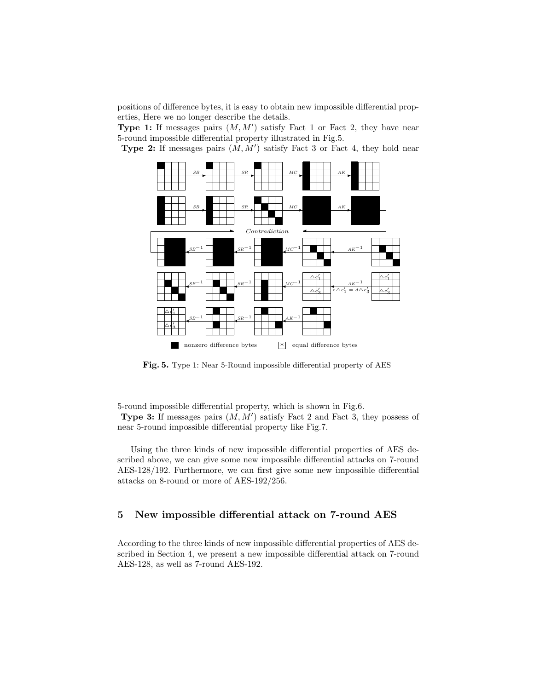positions of difference bytes, it is easy to obtain new impossible differential properties, Here we no longer describe the details.

Type 1: If messages pairs  $(M, M')$  satisfy Fact 1 or Fact 2, they have near 5-round impossible differential property illustrated in Fig.5.

**Type 2:** If messages pairs  $(M, M')$  satisfy Fact 3 or Fact 4, they hold near



Fig. 5. Type 1: Near 5-Round impossible differential property of AES

5-round impossible differential property, which is shown in Fig.6. **Type 3:** If messages pairs  $(M, M')$  satisfy Fact 2 and Fact 3, they possess of near 5-round impossible differential property like Fig.7.

Using the three kinds of new impossible differential properties of AES described above, we can give some new impossible differential attacks on 7-round AES-128/192. Furthermore, we can first give some new impossible differential attacks on 8-round or more of AES-192/256.

#### 5 New impossible differential attack on 7-round AES

According to the three kinds of new impossible differential properties of AES described in Section 4, we present a new impossible differential attack on 7-round AES-128, as well as 7-round AES-192.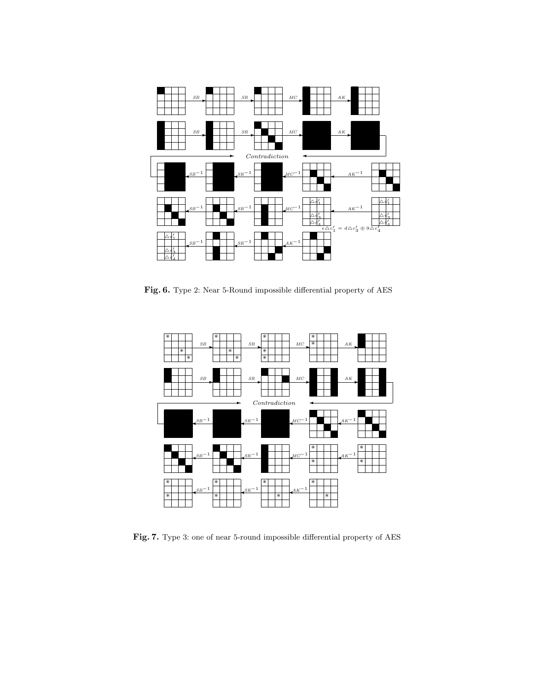

Fig. 6. Type 2: Near 5-Round impossible differential property of AES



Fig. 7. Type 3: one of near 5-round impossible differential property of AES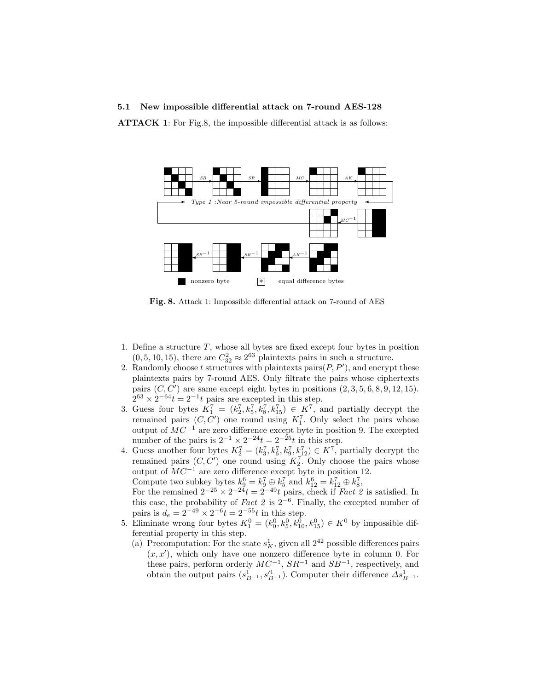#### 5.1 New impossible differential attack on 7-round AES-128

ATTACK 1: For Fig.8, the impossible differential attack is as follows:



Fig. 8. Attack 1: Impossible differential attack on 7-round of AES

- 1. Define a structure  $T$ , whose all bytes are fixed except four bytes in position  $(0, 5, 10, 15)$ , there are  $C_{32}^2 \approx 2^{63}$  plaintexts pairs in such a structure.
- 2. Randomly choose t structures with plaintexts pairs $(P, P')$ , and encrypt these plaintexts pairs by 7-round AES. Only filtrate the pairs whose ciphertexts pairs  $(C, C')$  are same except eight bytes in positions  $(2, 3, 5, 6, 8, 9, 12, 15)$ .  $2^{63} \times 2^{-64}t = 2^{-1}t$  pairs are excepted in this step.
- 3. Guess four bytes  $K_1^7 = (k_2^7, k_5^7, k_8^7, k_{15}^7) \in K^7$ , and partially decrypt the remained pairs  $(C, C')$  one round using  $K_1^7$ . Only select the pairs whose output of  $MC^{-1}$  are zero difference except byte in position 9. The excepted number of the pairs is  $2^{-1} \times 2^{-24}t = 2^{-25}t$  in this step.
- 4. Guess another four bytes  $K_2^7 = (k_3^7, k_6^7, k_9^7, k_{12}^7) \in K^7$ , partially decrypt the remained pairs  $(C, C')$  one round using  $K_2^7$ . Only choose the pairs whose output of  $MC^{-1}$  are zero difference except byte in position 12. Compute two subkey bytes  $k_9^6 = k_9^7 \oplus k_5^7$  and  $k_{12}^6 = k_{12}^7 \oplus k_8^7$ ,

For the remained  $2^{-25} \times 2^{-24}t = 2^{-49}t$  pairs, check if *Fact 2* is satisfied. In this case, the probability of Fact 2 is  $2^{-6}$ . Finally, the excepted number of pairs is  $d_e = 2^{-49} \times 2^{-6} t = 2^{-55} t$  in this step.

- 5. Eliminate wrong four bytes  $K_1^0 = (k_0^0, k_5^0, k_{10}^0, k_{15}^0) \in K^0$  by impossible differential property in this step.
	- (a) Precomputation: For the state  $s_K^1$ , given all  $2^{42}$  possible differences pairs  $(x, x')$ , which only have one nonzero difference byte in column 0. For these pairs, perform orderly  $MC^{-1}$ ,  $SR^{-1}$  and  $SB^{-1}$ , respectively, and obtain the output pairs  $(s_{B^{-1}}^1, s_{B^{-1}}'^1)$ . Computer their difference  $\Delta s_{B^{-1}}^1$ .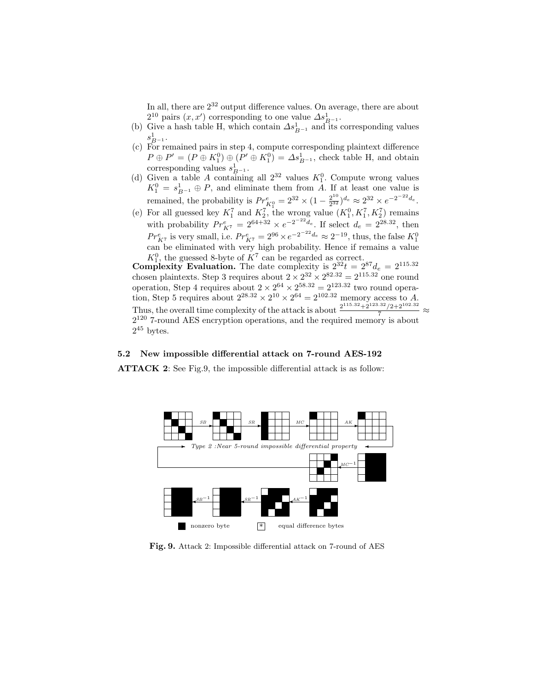In all, there are 2<sup>32</sup> output difference values. On average, there are about  $2^{10}$  pairs  $(x, x')$  corresponding to one value  $\Delta s_{B^{-1}}^1$ .

- (b) Give a hash table H, which contain  $\Delta s_{B^{-1}}^1$  and its corresponding values  $s_{B^{-1}}^1$ .
- (c) For remained pairs in step 4, compute corresponding plaintext difference  $P \oplus P' = (P \oplus K_1^0) \oplus (P' \oplus K_1^0) = \Delta s_{B^{-1}}^1$ , check table H, and obtain corresponding values  $s_{B^{-1}}^1$ .
- (d) Given a table A containing all  $2^{32}$  values  $K_1^0$ . Compute wrong values  $K_1^0 = s_{B^{-1}}^1 \oplus P$ , and eliminate them from A. If at least one value is remained, the probability is  $Pr_{K_1^0}^e = 2^{32} \times (1 - \frac{2^{10}}{2^{32}})$  $\frac{2^{10}}{2^{32}}$ )<sup>d</sup>e  $\approx 2^{32} \times e^{-2^{-22}d_e}$ .
- (e) For all guessed key  $K_1^7$  and  $K_2^7$ , the wrong value  $(K_1^0, K_1^7, K_2^7)$  remains with probability  $Pr_{K7}^e = 2^{64+32} \times e^{-2^{22}d_e}$ . If select  $d_e = 2^{28.32}$ , then  $Pr_{K^7}^e$  is very small, i.e.  $Pr_{K^7}^e = 2^{96} \times e^{-2^{-22}d_e} \approx 2^{-19}$ , thus, the false  $K_1^0$ can be eliminated with very high probability. Hence if remains a value  $K_1^0$ , the guessed 8-byte of  $K^7$  can be regarded as correct.

**Complexity Evaluation.** The date complexity is  $2^{32}t = 2^{87}d_e = 2^{115.32}$ chosen plaintexts. Step 3 requires about  $2 \times 2^{32} \times 2^{82.32} = 2^{115.32}$  one round operation, Step 4 requires about  $2 \times 2^{64} \times 2^{58.32} = 2^{123.32}$  two round operation, Step 5 requires about  $2^{28.32} \times 2^{10} \times 2^{64} = 2^{102.32}$  memory access to A. Thus, the overall time complexity of the attack is about  $\frac{2^{115.32}+2^{123.32}/2+2^{102.32}}{7} \approx$  $2^{120}$  7-round AES encryption operations, and the required memory is about  $2^{45}$  bytes.

#### 5.2 New impossible differential attack on 7-round AES-192

ATTACK 2: See Fig.9, the impossible differential attack is as follow:



Fig. 9. Attack 2: Impossible differential attack on 7-round of AES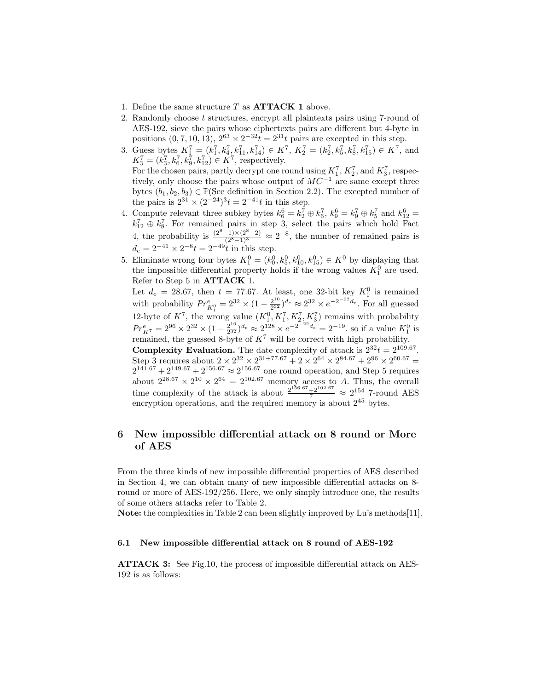- 1. Define the same structure  $T$  as  $\text{ATTACK}$  1 above.
- 2. Randomly choose t structures, encrypt all plaintexts pairs using 7-round of AES-192, sieve the pairs whose ciphertexts pairs are different but 4-byte in positions  $(0, 7, 10, 13), 2^{63} \times 2^{-32}t = 2^{31}t$  pairs are excepted in this step.
- 3. Guess bytes  $K_1^7 = (k_1^7, k_4^7, k_{11}^7, k_{14}^7) \in K^7$ ,  $K_2^7 = (k_2^7, k_5^7, k_8^7, k_{15}^7) \in K^7$ , and  $K_3^7 = (k_3^7, k_6^7, k_9^7, k_{12}^7) \in K^7$ , respectively. For the chosen pairs, partly decrypt one round using  $K_1^7$ ,  $K_2^7$ , and  $K_3^7$ , respectively, only choose the pairs whose output of  $MC^{-1}$  are same except three bytes  $(b_1, b_2, b_3) \in \mathbb{P}(\text{See definition in Section 2.2})$ . The excepted number of the pairs is  $2^{31} \times (2^{-24})^3 t = 2^{-41} t$  in this step.
- 4. Compute relevant three subkey bytes  $k_6^6 = k_2^7 \oplus k_6^7$ ,  $k_9^6 = k_9^7 \oplus k_5^7$  and  $k_{12}^6 =$  $k_{12}^7 \oplus k_8^7$ . For remained pairs in step 3, select the pairs which hold Fact 4, the probability is  $\frac{(2^8-1)\times(2^8-2)}{(2^8-1)^3} \approx 2^{-8}$ , the number of remained pairs is  $d_e = 2^{-41} \times 2^{-8} t = 2^{-49} t$  in this step.
- 5. Eliminate wrong four bytes  $K_1^0 = (k_0^0, k_5^0, k_{10}^0, k_{15}^0) \in K^0$  by displaying that the impossible differential property holds if the wrong values  $K_1^0$  are used. Refer to Step 5 in ATTACK 1.

Let  $d_e = 28.67$ , then  $t = 77.67$ . At least, one 32-bit key  $K_1^0$  is remained with probability  $Pr_{K_1^0}^e = 2^{32} \times (1 - \frac{2^{10}}{2^{32}})$  $\frac{2^{10}}{2^{32}}$ ) $\frac{d_e}{d_e} \approx 2^{32} \times e^{-2^{-22} d_e}$ . For all guessed 12-byte of  $K^7$ , the wrong value  $(K_1^0, K_1^7, K_2^7, K_3^7)$  remains with probability  $Pr_{K^{7}}^{e} = 2^{96} \times 2^{32} \times (1 - \frac{2^{10}}{2^{32}})$  $\frac{2^{10}}{2^{32}}$ ,  $\int_{0}^{1} \approx 2^{128} \times e^{-2^{-22} d_e} = 2^{-19}$ . so if a value  $K_1^0$  is remained, the guessed 8-byte of  $K^7$  will be correct with high probability. **Complexity Evaluation.** The date complexity of attack is  $2^{32}t = 2^{109.67}$ .

Step 3 requires about  $2 \times 2^{32} \times 2^{31+77.67} + 2 \times 2^{64} \times 2^{84.67} + 2^{96} \times 2^{60.67} =$  $2^{141.67} + 2^{149.67} + 2^{156.67} \approx 2^{156.67}$  one round operation, and Step 5 requires about  $2^{28.67} \times 2^{10} \times 2^{64} = 2^{102.67}$  memory access to A. Thus, the overall time complexity of the attack is about  $\frac{2^{156.67}+2^{102.67}}{7} \approx 2^{154}$  7-round AES encryption operations, and the required memory is about  $2^{45}$  bytes.

# 6 New impossible differential attack on 8 round or More of AES

From the three kinds of new impossible differential properties of AES described in Section 4, we can obtain many of new impossible differential attacks on 8 round or more of AES-192/256. Here, we only simply introduce one, the results of some others attacks refer to Table 2.

Note: the complexities in Table 2 can been slightly improved by Lu's methods[11].

#### 6.1 New impossible differential attack on 8 round of AES-192

ATTACK 3: See Fig.10, the process of impossible differential attack on AES-192 is as follows: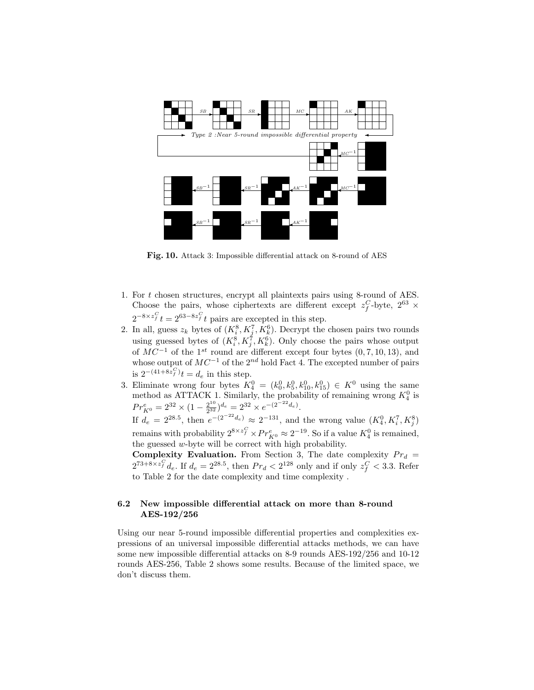

Fig. 10. Attack 3: Impossible differential attack on 8-round of AES

- 1. For t chosen structures, encrypt all plaintexts pairs using 8-round of AES. Choose the pairs, whose ciphertexts are different except  $z_f^C$ -byte,  $2^{63} \times$  $2^{-8 \times z_f^C} t = 2^{63 - 8z_f^C} t$  pairs are excepted in this step.
- 2. In all, guess  $z_k$  bytes of  $(K_i^8, K_j^7, K_k^6)$ . Decrypt the chosen pairs two rounds using guessed bytes of  $(K_i^8, K_j^7, K_k^6)$ . Only choose the pairs whose output of  $MC^{-1}$  of the 1<sup>st</sup> round are different except four bytes (0,7, 10, 13), and whose output of  $MC^{-1}$  of the 2<sup>nd</sup> hold Fact 4. The excepted number of pairs is  $2^{-(41+8z_f^C)}t = d_e$  in this step.
- 3. Eliminate wrong four bytes  $K_4^0 = (k_0^0, k_5^0, k_{10}^0, k_{15}^0) \in K^0$  using the same method as ATTACK 1. Similarly, the probability of remaining wrong  $K_4^0$  is  $Pr_{K^0}^e = 2^{32} \times (1 - \frac{2^{10}}{2^{32}})$  $\frac{2^{10}}{2^{32}}$ ) $d_e = 2^{32} \times e^{-(2^{-22}d_e)}$ .

If  $d_e = 2^{28.5}$ , then  $e^{-(2^{-22}d_e)} \approx 2^{-131}$ , and the wrong value  $(K_4^0, K_i^7, K_j^8)$ remains with probability  $2^{8 \times z_f^C} \times Pr_{K^0}^e \approx 2^{-19}$ . So if a value  $K_4^0$  is remained, the guessed w-byte will be correct with high probability.

**Complexity Evaluation.** From Section 3, The date complexity  $Pr_d =$  $2^{73+8\times z_f^C}$  d<sub>e</sub>. If  $d_e = 2^{28.5}$ , then  $Pr_d < 2^{128}$  only and if only  $z_f^C < 3.3$ . Refer to Table 2 for the date complexity and time complexity .

#### 6.2 New impossible differential attack on more than 8-round AES-192/256

Using our near 5-round impossible differential properties and complexities expressions of an universal impossible differential attacks methods, we can have some new impossible differential attacks on 8-9 rounds AES-192/256 and 10-12 rounds AES-256, Table 2 shows some results. Because of the limited space, we don't discuss them.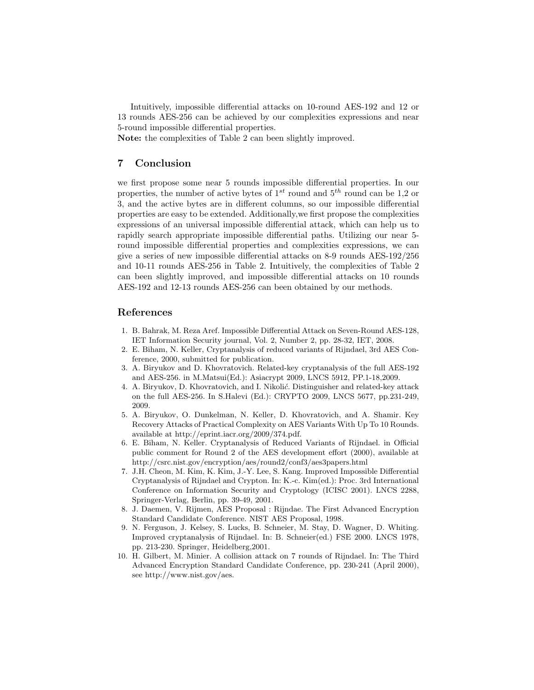Intuitively, impossible differential attacks on 10-round AES-192 and 12 or 13 rounds AES-256 can be achieved by our complexities expressions and near 5-round impossible differential properties.

Note: the complexities of Table 2 can been slightly improved.

# 7 Conclusion

we first propose some near 5 rounds impossible differential properties. In our properties, the number of active bytes of  $1^{st}$  round and  $5^{th}$  round can be 1,2 or 3, and the active bytes are in different columns, so our impossible differential properties are easy to be extended. Additionally,we first propose the complexities expressions of an universal impossible differential attack, which can help us to rapidly search appropriate impossible differential paths. Utilizing our near 5 round impossible differential properties and complexities expressions, we can give a series of new impossible differential attacks on 8-9 rounds AES-192/256 and 10-11 rounds AES-256 in Table 2. Intuitively, the complexities of Table 2 can been slightly improved, and impossible differential attacks on 10 rounds AES-192 and 12-13 rounds AES-256 can been obtained by our methods.

### References

- 1. B. Bahrak, M. Reza Aref. Impossible Differential Attack on Seven-Round AES-128, IET Information Security journal, Vol. 2, Number 2, pp. 28-32, IET, 2008.
- 2. E. Biham, N. Keller, Cryptanalysis of reduced variants of Rijndael, 3rd AES Conference, 2000, submitted for publication.
- 3. A. Biryukov and D. Khovratovich. Related-key cryptanalysis of the full AES-192 and AES-256. in M.Matsui(Ed.): Asiacrypt 2009, LNCS 5912, PP.1-18,2009.
- 4. A. Biryukov, D. Khovratovich, and I. Nikolić. Distinguisher and related-key attack on the full AES-256. In S.Halevi (Ed.): CRYPTO 2009, LNCS 5677, pp.231-249, 2009.
- 5. A. Biryukov, O. Dunkelman, N. Keller, D. Khovratovich, and A. Shamir. Key Recovery Attacks of Practical Complexity on AES Variants With Up To 10 Rounds. available at http://eprint.iacr.org/2009/374.pdf.
- 6. E. Biham, N. Keller. Cryptanalysis of Reduced Variants of Rijndael. in Official public comment for Round 2 of the AES development effort (2000), available at http://csrc.nist.gov/encryption/aes/round2/conf3/aes3papers.html
- 7. J.H. Cheon, M. Kim, K. Kim, J.-Y. Lee, S. Kang. Improved Impossible Differential Cryptanalysis of Rijndael and Crypton. In: K.-c. Kim(ed.): Proc. 3rd International Conference on Information Security and Cryptology (ICISC 2001). LNCS 2288, Springer-Verlag, Berlin, pp. 39-49, 2001.
- 8. J. Daemen, V. Rijmen, AES Proposal : Rijndae. The First Advanced Encryption Standard Candidate Conference. NIST AES Proposal, 1998.
- 9. N. Ferguson, J. Kelsey, S. Lucks, B. Schneier, M. Stay, D. Wagner, D. Whiting. Improved cryptanalysis of Rijndael. In: B. Schneier(ed.) FSE 2000. LNCS 1978, pp. 213-230. Springer, Heidelberg,2001.
- 10. H. Gilbert, M. Minier. A collision attack on 7 rounds of Rijndael. In: The Third Advanced Encryption Standard Candidate Conference, pp. 230-241 (April 2000), see http://www.nist.gov/aes.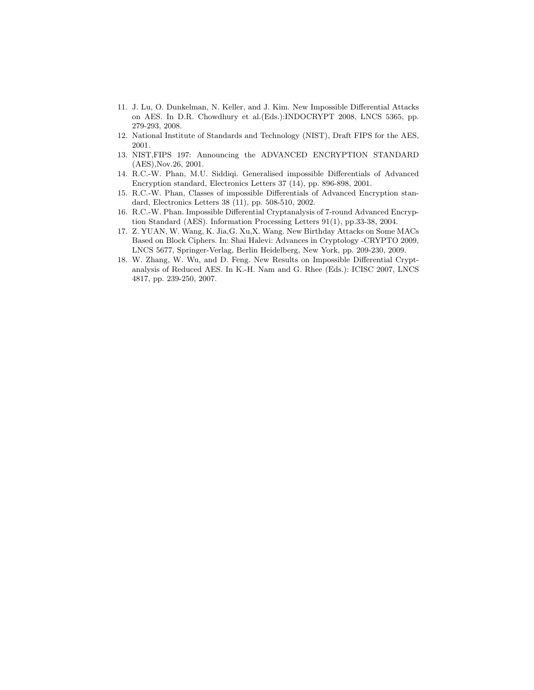- 11. J. Lu, O. Dunkelman, N. Keller, and J. Kim. New Impossible Differential Attacks on AES. In D.R. Chowdhury et al.(Eds.):INDOCRYPT 2008, LNCS 5365, pp. 279-293, 2008.
- 12. National Institute of Standards and Technology (NIST), Draft FIPS for the AES, 2001.
- 13. NIST,FIPS 197: Announcing the ADVANCED ENCRYPTION STANDARD (AES),Nov.26, 2001.
- 14. R.C.-W. Phan, M.U. Siddiqi. Generalised impossible Differentials of Advanced Encryption standard, Electronics Letters 37 (14), pp. 896-898, 2001.
- 15. R.C.-W. Phan, Classes of impossible Differentials of Advanced Encryption standard, Electronics Letters 38 (11), pp. 508-510, 2002.
- 16. R.C.-W. Phan. Impossible Differential Cryptanalysis of 7-round Advanced Encryption Standard (AES). Information Processing Letters 91(1), pp.33-38, 2004.
- 17. Z. YUAN, W. Wang, K. Jia,G. Xu,X. Wang. New Birthday Attacks on Some MACs Based on Block Ciphers. In: Shai Halevi: Advances in Cryptology -CRYPTO 2009, LNCS 5677, Springer-Verlag, Berlin Heidelberg, New York, pp. 209-230, 2009.
- 18. W. Zhang, W. Wu, and D. Feng. New Results on Impossible Differential Cryptanalysis of Reduced AES. In K.-H. Nam and G. Rhee (Eds.): ICISC 2007, LNCS 4817, pp. 239-250, 2007.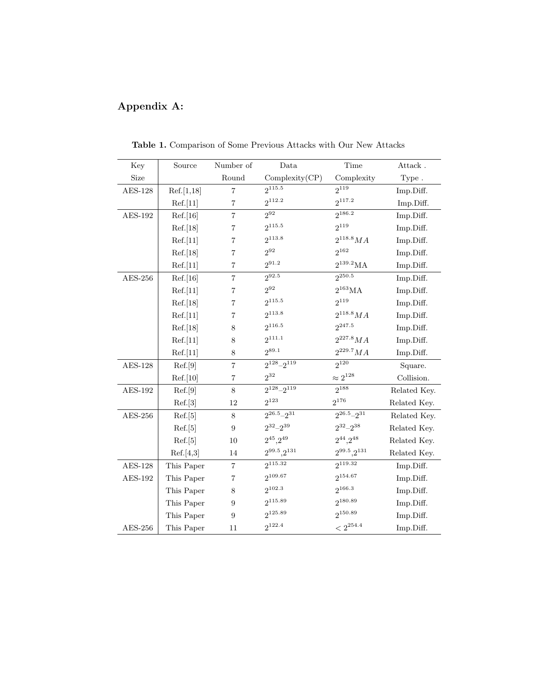# Appendix A:

| Key            | Source     | Number of               | Data                   | Time                   | Attack.      |
|----------------|------------|-------------------------|------------------------|------------------------|--------------|
| Size           |            | Round                   | Complexity(CP)         | Complexity             | Type.        |
| <b>AES-128</b> | Ref.[1,18] | $\overline{7}$          | $2^{115.5}$            | $2^{119}$              | Imp.Diff.    |
|                | Ref.[11]   | $\overline{7}$          | $2^{112.2}$            | $2^{117.2}$            | Imp.Diff.    |
| AES-192        | Ref.[16]   | $\overline{7}$          | $2^{92}$               | $2^{186.2}$            | Imp.Diff.    |
|                | Ref.[18]   | $\overline{7}$          | $2^{115.5}$            | $2^{119}$              | Imp.Diff.    |
|                | Ref.[11]   | $\overline{7}$          | $2^{113.8}$            | $2^{118.8} MA$         | Imp.Diff.    |
|                | Ref.[18]   | $\overline{7}$          | $2^{92}$               | $2^{162}$              | Imp.Diff.    |
|                | Ref.[11]   | $\overline{7}$          | $2^{91.2}$             | $2^{139.2}MA$          | Imp.Diff.    |
| $AES-256$      | Ref.[16]   | $\overline{\mathbf{7}}$ | $2^{92.5}$             | $2^{250.5}$            | Imp.Diff.    |
|                | Ref.[11]   | $\overline{7}$          | $2^{92}$               | $2^{163}MA$            | Imp.Diff.    |
|                | Ref.[18]   | 7                       | $2^{115.5}$            | $2^{119}$              | Imp.Diff.    |
|                | Ref.[11]   | $\overline{7}$          | $2^{113.8}$            | $2^{118.8} MA$         | Imp.Diff.    |
|                | Ref.[18]   | $8\,$                   | $2^{116.5}$            | $2^{247.5}$            | Imp.Diff.    |
|                | Ref.[11]   | 8                       | $2^{111.1}$            | $2^{227.8} MA$         | Imp.Diff.    |
|                | Ref.[11]   | 8                       | $2^{89.1}$             | $2^{229.7}MA$          | Imp.Diff.    |
| <b>AES-128</b> | Ref.[9]    | $\overline{7}$          | $2^{128} - 2^{119}$    | $2^{120}$              | Square.      |
|                | Ref.[10]   | $\overline{7}$          | $2^{32}$               | $\approx 2^{128}$      | Collision.   |
| <b>AES-192</b> | Ref.[9]    | 8                       | $2^{128} - 2^{119}$    | $2^{188}$              | Related Key. |
|                | Ref.[3]    | 12                      | $2^{123}$              | $2^{176}$              | Related Key. |
| $AES-256$      | Ref.[5]    | 8                       | $2^{26.5} - 2^{31}$    | $2^{26.5} - 2^{31}$    | Related Key. |
|                | Ref.[5]    | 9                       | $2^{32} - 2^{39}$      | $2^{32} - 2^{38}$      | Related Key. |
|                | Ref.[5]    | 10                      | $2^{45}$ , $2^{49}$    | $2^{44}$ , $2^{48}$    | Related Key. |
|                | Ref.[4,3]  | 14                      | $2^{99.5}$ , $2^{131}$ | $2^{99.5}$ , $2^{131}$ | Related Key. |
| $AES-128$      | This Paper | $\overline{7}$          | $2^{115.32}$           | 2119.32                | Imp.Diff.    |
| AES-192        | This Paper | $\overline{\mathbf{7}}$ | $2^{109.67}$           | 2154.67                | Imp.Diff.    |
|                | This Paper | 8                       | $2^{102.3}$            | $2^{166.3}$            | Imp.Diff.    |
|                | This Paper | 9                       | $2^{115.89}$           | 2180.89                | Imp.Diff.    |
|                | This Paper | 9                       | 2125.89                | $2^{150.89}$           | Imp.Diff.    |
| $AES-256$      | This Paper | 11                      | $2^{122.4}$            | $<2^{254.4}$           | Imp.Diff.    |

Table 1. Comparison of Some Previous Attacks with Our New Attacks